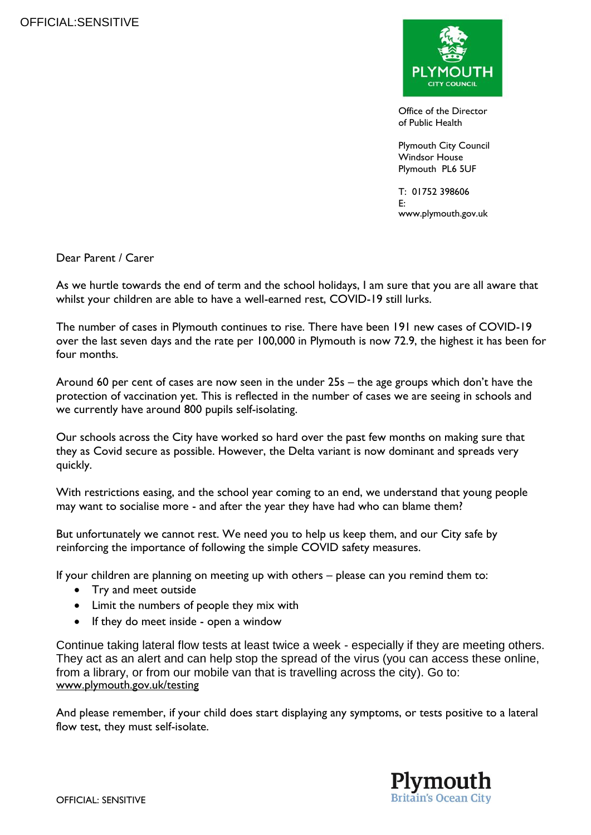

Office of the Director of Public Health

Plymouth City Council Windsor House Plymouth PL6 5UF

T: 01752 398606 E: www.plymouth.gov.uk

Dear Parent / Carer

As we hurtle towards the end of term and the school holidays, I am sure that you are all aware that whilst your children are able to have a well-earned rest, COVID-19 still lurks.

The number of cases in Plymouth continues to rise. There have been 191 new cases of COVID-19 over the last seven days and the rate per 100,000 in Plymouth is now 72.9, the highest it has been for four months.

Around 60 per cent of cases are now seen in the under 25s – the age groups which don't have the protection of vaccination yet. This is reflected in the number of cases we are seeing in schools and we currently have around 800 pupils self-isolating.

Our schools across the City have worked so hard over the past few months on making sure that they as Covid secure as possible. However, the Delta variant is now dominant and spreads very quickly.

With restrictions easing, and the school year coming to an end, we understand that young people may want to socialise more - and after the year they have had who can blame them?

But unfortunately we cannot rest. We need you to help us keep them, and our City safe by reinforcing the importance of following the simple COVID safety measures.

If your children are planning on meeting up with others – please can you remind them to:

- Try and meet outside
- Limit the numbers of people they mix with
- If they do meet inside open a window

Continue taking lateral flow tests at least twice a week - especially if they are meeting others. They act as an alert and can help stop the spread of the virus (you can access these online, from a library, or from our mobile van that is travelling across the city). Go to: [www.plymouth.gov.uk/testing](https://eur02.safelinks.protection.outlook.com/?url=http%3A%2F%2Fwww.plymouth.gov.uk%2Ftesting&data=04%7C01%7CAmanda.Fitton%40plymouth.gov.uk%7C9c6e20d016844458590508d937bd3b99%7Ca9a3c3d1fc0f4943bc2ad73e388cc2df%7C0%7C0%7C637602108144027302%7CUnknown%7CTWFpbGZsb3d8eyJWIjoiMC4wLjAwMDAiLCJQIjoiV2luMzIiLCJBTiI6Ik1haWwiLCJXVCI6Mn0%3D%7C1000&sdata=q3QE8TZurBhrYEh%2FNKtlz%2BbgBcUaOI52hW7daZH9UOI%3D&reserved=0)

And please remember, if your child does start displaying any symptoms, or tests positive to a lateral flow test, they must self-isolate.